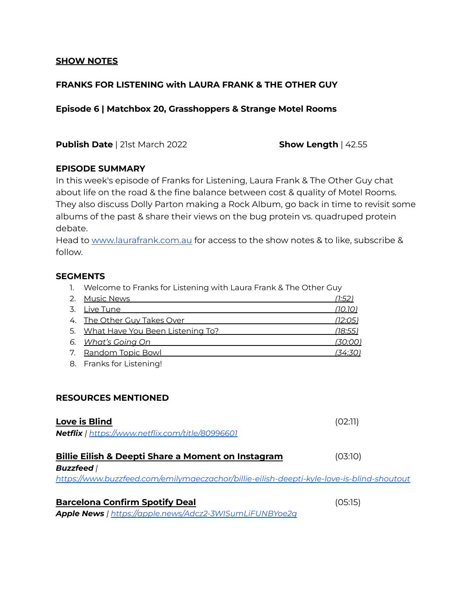### **SHOW NOTES**

# **FRANKS FOR LISTENING with LAURA FRANK & THE OTHER GUY**

**Episode 6 | Matchbox 20, Grasshoppers & Strange Motel Rooms**

**Publish Date** | 21st March 2022 **Show Length** | 42.55

## **EPISODE SUMMARY**

In this week's episode of Franks for Listening, Laura Frank & The Other Guy chat about life on the road & the fine balance between cost & quality of Motel Rooms. They also discuss Dolly Parton making a Rock Album, go back in time to revisit some albums of the past & share their views on the bug protein vs. quadruped protein debate.

Head to [www.laurafrank.com.au](http://www.laurafrank.com.au) for access to the show notes & to like, subscribe & follow.

### **SEGMENTS**

1. Welcome to Franks for Listening with Laura Frank & The Other Guy

| 2. Music News                       | (1:52)         |
|-------------------------------------|----------------|
| 3. Live Tune                        | <u>(10.10)</u> |
| 4. The Other Guy Takes Over         | (12:05)        |
| 5. What Have You Been Listening To? | <u>(18:55)</u> |
| 6. What's Going On                  | <u>(30:00)</u> |
| 7. Random Topic Bowl                | (34:30)        |
|                                     |                |

8. Franks for Listening!

### **RESOURCES MENTIONED**

| Love is Blind<br>Netflix   https://www.netflix.com/title/80996601                         | (02:11) |  |
|-------------------------------------------------------------------------------------------|---------|--|
|                                                                                           |         |  |
| Billie Eilish & Deepti Share a Moment on Instagram<br><b>Buzzfeed</b>                     | (03:10) |  |
| https://www.buzzfeed.com/emilymaeczachor/billie-eilish-deepti-kyle-love-is-blind-shoutout |         |  |
| <b>Barcelona Confirm Spotify Deal</b>                                                     | (05:15) |  |
| Apple News   https://apple.news/Adcz2-3WISumLiFUNBYoe2q                                   |         |  |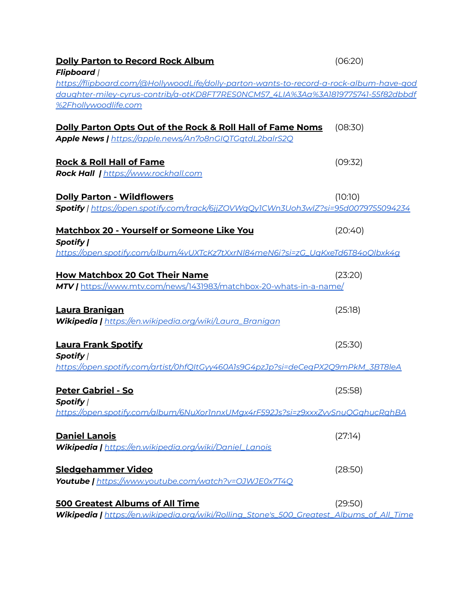| <b>Dolly Parton to Record Rock Album</b><br><b>Flipboard</b> /                               | (06:20) |
|----------------------------------------------------------------------------------------------|---------|
| https://flipboard.com/@HollywoodLife/dolly-parton-wants-to-record-a-rock-album-have-god      |         |
| daughter-miley-cyrus-contrib/a-otKD8FT7RES0NCM57_4LIA%3Aa%3A1819775741-55f82dbbdf            |         |
| %2Fhollywoodlife.com                                                                         |         |
| Dolly Parton Opts Out of the Rock & Roll Hall of Fame Noms                                   | (08:30) |
| Apple News   https://apple.news/An7o8nGIOTGatdL2balrS2O                                      |         |
| <b>Rock &amp; Roll Hall of Fame</b>                                                          | (09:32) |
| Rock Hall   https://www.rockhall.com                                                         |         |
| <b>Dolly Parton - Wildflowers</b>                                                            | (10:10) |
| Spotify   https://open.spotify.com/track/6jjZOVWqQy1CWn3Uoh3wlZ?si=95d0079755094234          |         |
| <b>Matchbox 20 - Yourself or Someone Like You</b><br>Spotify                                 | (20:40) |
| https://open.spotify.com/album/4vUXTcKz7tXxrNI84meN6i?si=zG_UqKxeTd6T84oQlbxk4q              |         |
| <b>How Matchbox 20 Got Their Name</b>                                                        | (23:20) |
| MTV   https://www.mtv.com/news/1431983/matchbox-20-whats-in-a-name/                          |         |
| Laura Branigan                                                                               | (25:18) |
| Wikipedia   https://en.wikipedia.org/wiki/Laura_Branigan                                     |         |
| <b>Laura Frank Spotify</b>                                                                   | (25:30) |
| Spotify /                                                                                    |         |
| https://open.spotify.com/artist/0hfQItGyy460A1s9G4pzJp?si=deCegPX2Q9mPkM_3BT8leA             |         |
| <b>Peter Gabriel - So</b>                                                                    | (25:58) |
| Spotifv  <br>https://open.spotify.com/album/6NuXorInnxUMax4rF592Js?si=z9xxxZvvSnuOGahucRahBA |         |
|                                                                                              |         |
| <b>Daniel Lanois</b>                                                                         | (27:14) |
| Wikipedia   https://en.wikipedia.org/wiki/Daniel_Lanois                                      |         |
| Sledgehammer Video                                                                           | (28:50) |
| <b>Youtube   https://www.youtube.com/watch?v=OJWJE0x7T4Q</b>                                 |         |
| <b>500 Greatest Albums of All Time</b>                                                       | (29:50) |
| Wikipedia   https://en.wikipedia.org/wiki/Rolling_Stone's_500_Greatest_Albums_of_All_Time    |         |